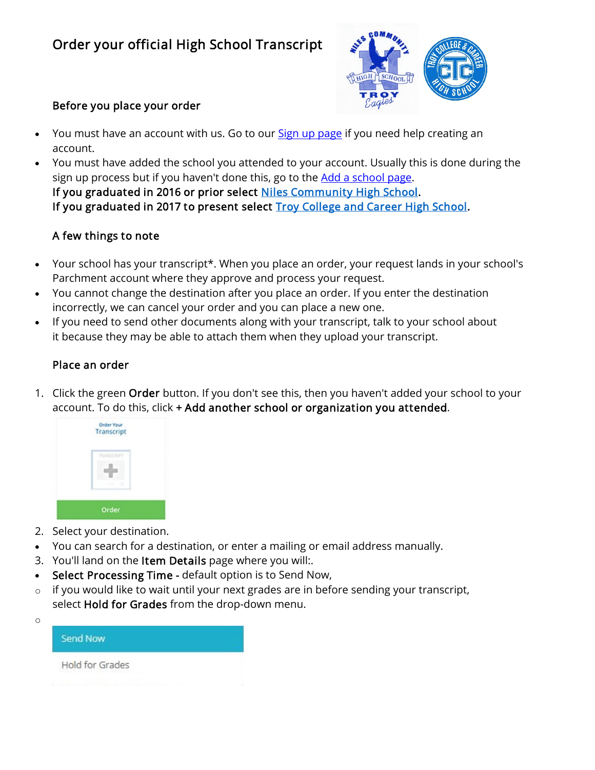# Order your official High School Transcript



#### Before you place your order

- You must have an account with us. Go to our **[Sign up page](https://parchmentsupport.force.com/s/article/Sign-up-to-order-transcripts)** if you need help creating an account.
- You must have added the school you attended to your account. Usually this is done during the sign up process but if you haven't done this, go to the [Add a school page.](https://parchmentsupport.force.com/s/article/Add-a-school-to-your-account) If you graduated in 2016 or prior select [Niles Community High School.](https://www.parchment.com/u/registration/99003/account) If you graduated in 2017 to present select **Troy College and Career High School**.

## A few things to note

- Your school has your transcript\*. When you place an order, your request lands in your school's Parchment account where they approve and process your request.
- You cannot change the destination after you place an order. If you enter the destination incorrectly, we can cancel your order and you can place a new one.
- If you need to send other documents along with your transcript, talk to your school about it because they may be able to attach them when they upload your transcript.

#### Place an order

1. Click the green Order button. If you don't see this, then you haven't added your school to your account. To do this, click + Add another school or organization you attended.



2. Select your destination.

o

- You can search for a destination, or enter a mailing or email address manually.
- 3. You'll land on the Item Details page where you will:.
- Select Processing Time default option is to Send Now,
- $\circ$  if you would like to wait until your next grades are in before sending your transcript, select Hold for Grades from the drop-down menu.

| <b>Send Now</b> |  |
|-----------------|--|
| Hold for Grades |  |